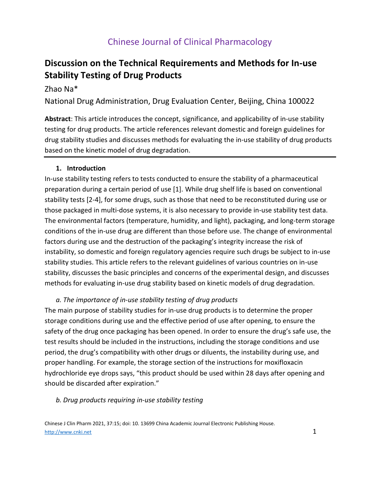# **Discussion on the Technical Requirements and Methods for In-use Stability Testing of Drug Products**

### Zhao Na\*

National Drug Administration, Drug Evaluation Center, Beijing, China 100022

**Abstract**: This article introduces the concept, significance, and applicability of in-use stability testing for drug products. The article references relevant domestic and foreign guidelines for drug stability studies and discusses methods for evaluating the in-use stability of drug products based on the kinetic model of drug degradation.

#### **1. Introduction**

In-use stability testing refers to tests conducted to ensure the stability of a pharmaceutical preparation during a certain period of use [1]. While drug shelf life is based on conventional stability tests [2-4], for some drugs, such as those that need to be reconstituted during use or those packaged in multi-dose systems, it is also necessary to provide in-use stability test data. The environmental factors (temperature, humidity, and light), packaging, and long-term storage conditions of the in-use drug are different than those before use. The change of environmental factors during use and the destruction of the packaging's integrity increase the risk of instability, so domestic and foreign regulatory agencies require such drugs be subject to in-use stability studies. This article refers to the relevant guidelines of various countries on in-use stability, discusses the basic principles and concerns of the experimental design, and discusses methods for evaluating in-use drug stability based on kinetic models of drug degradation.

#### *a. The importance of in-use stability testing of drug products*

The main purpose of stability studies for in-use drug products is to determine the proper storage conditions during use and the effective period of use after opening, to ensure the safety of the drug once packaging has been opened. In order to ensure the drug's safe use, the test results should be included in the instructions, including the storage conditions and use period, the drug's compatibility with other drugs or diluents, the instability during use, and proper handling. For example, the storage section of the instructions for moxifloxacin hydrochloride eye drops says, "this product should be used within 28 days after opening and should be discarded after expiration."

#### *b. Drug products requiring in-use stability testing*

Chinese J Clin Pharm 2021, 37:15; doi: 10. 13699 China Academic Journal Electronic Publishing House. http://www.cnki.net $\qquad \qquad \qquad \qquad 1$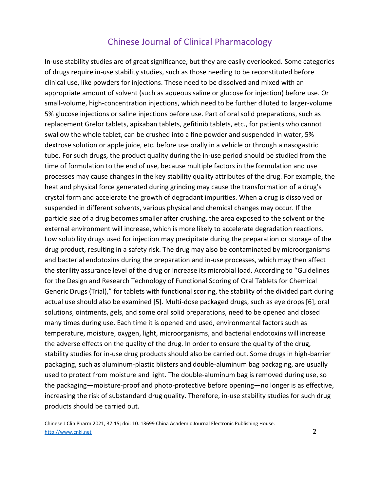In-use stability studies are of great significance, but they are easily overlooked. Some categories of drugs require in-use stability studies, such as those needing to be reconstituted before clinical use, like powders for injections. These need to be dissolved and mixed with an appropriate amount of solvent (such as aqueous saline or glucose for injection) before use. Or small-volume, high-concentration injections, which need to be further diluted to larger-volume 5% glucose injections or saline injections before use. Part of oral solid preparations, such as replacement Grelor tablets, apixaban tablets, gefitinib tablets, etc., for patients who cannot swallow the whole tablet, can be crushed into a fine powder and suspended in water, 5% dextrose solution or apple juice, etc. before use orally in a vehicle or through a nasogastric tube. For such drugs, the product quality during the in-use period should be studied from the time of formulation to the end of use, because multiple factors in the formulation and use processes may cause changes in the key stability quality attributes of the drug. For example, the heat and physical force generated during grinding may cause the transformation of a drug's crystal form and accelerate the growth of degradant impurities. When a drug is dissolved or suspended in different solvents, various physical and chemical changes may occur. If the particle size of a drug becomes smaller after crushing, the area exposed to the solvent or the external environment will increase, which is more likely to accelerate degradation reactions. Low solubility drugs used for injection may precipitate during the preparation or storage of the drug product, resulting in a safety risk. The drug may also be contaminated by microorganisms and bacterial endotoxins during the preparation and in-use processes, which may then affect the sterility assurance level of the drug or increase its microbial load. According to "Guidelines for the Design and Research Technology of Functional Scoring of Oral Tablets for Chemical Generic Drugs (Trial)," for tablets with functional scoring, the stability of the divided part during actual use should also be examined [5]. Multi-dose packaged drugs, such as eye drops [6], oral solutions, ointments, gels, and some oral solid preparations, need to be opened and closed many times during use. Each time it is opened and used, environmental factors such as temperature, moisture, oxygen, light, microorganisms, and bacterial endotoxins will increase the adverse effects on the quality of the drug. In order to ensure the quality of the drug, stability studies for in-use drug products should also be carried out. Some drugs in high-barrier packaging, such as aluminum-plastic blisters and double-aluminum bag packaging, are usually used to protect from moisture and light. The double-aluminum bag is removed during use, so the packaging—moisture-proof and photo-protective before opening—no longer is as effective, increasing the risk of substandard drug quality. Therefore, in-use stability studies for such drug products should be carried out.

Chinese J Clin Pharm 2021, 37:15; doi: 10. 13699 China Academic Journal Electronic Publishing House. http://www.cnki.net 2016/2017 - 2020 - 2020 - 2020 - 2020 - 2020 - 2020 - 2020 - 2020 - 2020 - 2020 - 2020 - 20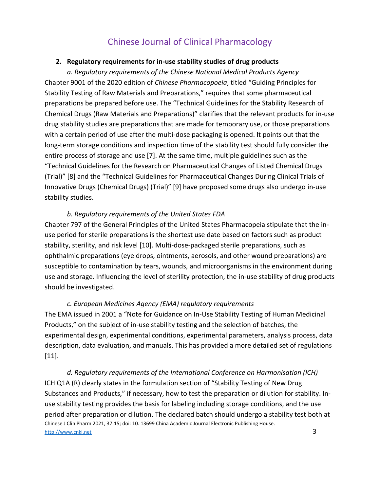#### **2. Regulatory requirements for in-use stability studies of drug products**

*a. Regulatory requirements of the Chinese National Medical Products Agency* Chapter 9001 of the 2020 edition of *Chinese Pharmacopoeia*, titled "Guiding Principles for Stability Testing of Raw Materials and Preparations," requires that some pharmaceutical preparations be prepared before use. The "Technical Guidelines for the Stability Research of Chemical Drugs (Raw Materials and Preparations)" clarifies that the relevant products for in-use drug stability studies are preparations that are made for temporary use, or those preparations with a certain period of use after the multi-dose packaging is opened. It points out that the long-term storage conditions and inspection time of the stability test should fully consider the entire process of storage and use [7]. At the same time, multiple guidelines such as the "Technical Guidelines for the Research on Pharmaceutical Changes of Listed Chemical Drugs (Trial)" [8] and the "Technical Guidelines for Pharmaceutical Changes During Clinical Trials of Innovative Drugs (Chemical Drugs) (Trial)" [9] have proposed some drugs also undergo in-use stability studies.

#### *b. Regulatory requirements of the United States FDA*

Chapter 797 of the General Principles of the United States Pharmacopeia stipulate that the inuse period for sterile preparations is the shortest use date based on factors such as product stability, sterility, and risk level [10]. Multi-dose-packaged sterile preparations, such as ophthalmic preparations (eye drops, ointments, aerosols, and other wound preparations) are susceptible to contamination by tears, wounds, and microorganisms in the environment during use and storage. Influencing the level of sterility protection, the in-use stability of drug products should be investigated.

#### *c. European Medicines Agency (EMA) regulatory requirements*

The EMA issued in 2001 a "Note for Guidance on In-Use Stability Testing of Human Medicinal Products," on the subject of in-use stability testing and the selection of batches, the experimental design, experimental conditions, experimental parameters, analysis process, data description, data evaluation, and manuals. This has provided a more detailed set of regulations [11].

Chinese J Clin Pharm 2021, 37:15; doi: 10. 13699 China Academic Journal Electronic Publishing House. http://www.cnki.net 3 *d. Regulatory requirements of the International Conference on Harmonisation (ICH)* ICH Q1A (R) clearly states in the formulation section of "Stability Testing of New Drug Substances and Products," if necessary, how to test the preparation or dilution for stability. Inuse stability testing provides the basis for labeling including storage conditions, and the use period after preparation or dilution. The declared batch should undergo a stability test both at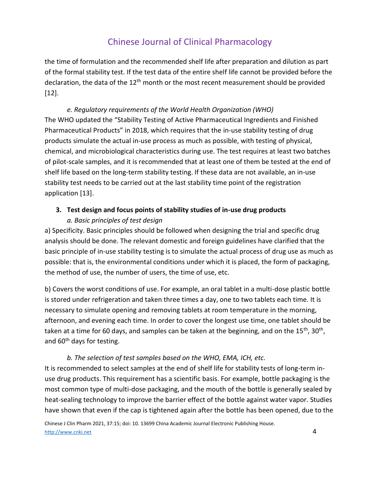the time of formulation and the recommended shelf life after preparation and dilution as part of the formal stability test. If the test data of the entire shelf life cannot be provided before the declaration, the data of the 12<sup>th</sup> month or the most recent measurement should be provided [12].

*e. Regulatory requirements of the World Health Organization (WHO)* The WHO updated the "Stability Testing of Active Pharmaceutical Ingredients and Finished Pharmaceutical Products" in 2018, which requires that the in-use stability testing of drug products simulate the actual in-use process as much as possible, with testing of physical, chemical, and microbiological characteristics during use. The test requires at least two batches of pilot-scale samples, and it is recommended that at least one of them be tested at the end of shelf life based on the long-term stability testing. If these data are not available, an in-use stability test needs to be carried out at the last stability time point of the registration application [13].

## **3. Test design and focus points of stability studies of in-use drug products**

### *a. Basic principles of test design*

a) Specificity. Basic principles should be followed when designing the trial and specific drug analysis should be done. The relevant domestic and foreign guidelines have clarified that the basic principle of in-use stability testing is to simulate the actual process of drug use as much as possible: that is, the environmental conditions under which it is placed, the form of packaging, the method of use, the number of users, the time of use, etc.

b) Covers the worst conditions of use. For example, an oral tablet in a multi-dose plastic bottle is stored under refrigeration and taken three times a day, one to two tablets each time. It is necessary to simulate opening and removing tablets at room temperature in the morning, afternoon, and evening each time. In order to cover the longest use time, one tablet should be taken at a time for 60 days, and samples can be taken at the beginning, and on the 15<sup>th</sup>, 30<sup>th</sup>, and 60<sup>th</sup> days for testing.

### *b. The selection of test samples based on the WHO, EMA, ICH, etc.*

It is recommended to select samples at the end of shelf life for stability tests of long-term inuse drug products. This requirement has a scientific basis. For example, bottle packaging is the most common type of multi-dose packaging, and the mouth of the bottle is generally sealed by heat-sealing technology to improve the barrier effect of the bottle against water vapor. Studies have shown that even if the cap is tightened again after the bottle has been opened, due to the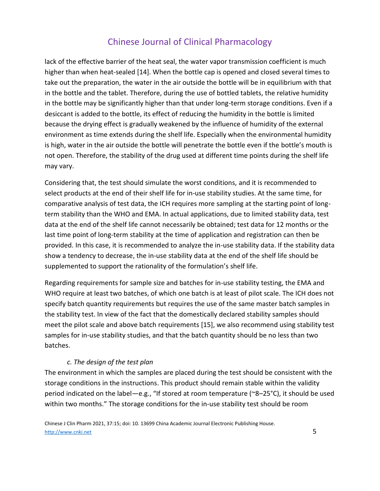lack of the effective barrier of the heat seal, the water vapor transmission coefficient is much higher than when heat-sealed [14]. When the bottle cap is opened and closed several times to take out the preparation, the water in the air outside the bottle will be in equilibrium with that in the bottle and the tablet. Therefore, during the use of bottled tablets, the relative humidity in the bottle may be significantly higher than that under long-term storage conditions. Even if a desiccant is added to the bottle, its effect of reducing the humidity in the bottle is limited because the drying effect is gradually weakened by the influence of humidity of the external environment as time extends during the shelf life. Especially when the environmental humidity is high, water in the air outside the bottle will penetrate the bottle even if the bottle's mouth is not open. Therefore, the stability of the drug used at different time points during the shelf life may vary.

Considering that, the test should simulate the worst conditions, and it is recommended to select products at the end of their shelf life for in-use stability studies. At the same time, for comparative analysis of test data, the ICH requires more sampling at the starting point of longterm stability than the WHO and EMA. In actual applications, due to limited stability data, test data at the end of the shelf life cannot necessarily be obtained; test data for 12 months or the last time point of long-term stability at the time of application and registration can then be provided. In this case, it is recommended to analyze the in-use stability data. If the stability data show a tendency to decrease, the in-use stability data at the end of the shelf life should be supplemented to support the rationality of the formulation's shelf life.

Regarding requirements for sample size and batches for in-use stability testing, the EMA and WHO require at least two batches, of which one batch is at least of pilot scale. The ICH does not specify batch quantity requirements but requires the use of the same master batch samples in the stability test. In view of the fact that the domestically declared stability samples should meet the pilot scale and above batch requirements [15], we also recommend using stability test samples for in-use stability studies, and that the batch quantity should be no less than two batches.

### *c. The design of the test plan*

The environment in which the samples are placed during the test should be consistent with the storage conditions in the instructions. This product should remain stable within the validity period indicated on the label—e.g., "If stored at room temperature (~8–25°C), it should be used within two months." The storage conditions for the in-use stability test should be room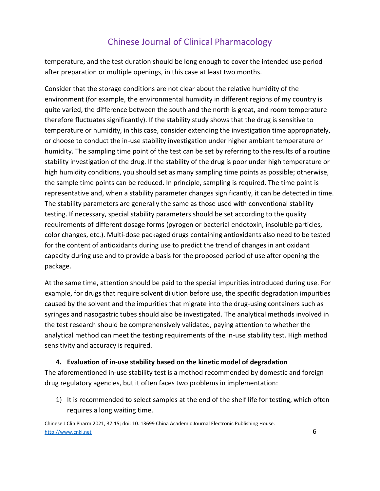temperature, and the test duration should be long enough to cover the intended use period after preparation or multiple openings, in this case at least two months.

Consider that the storage conditions are not clear about the relative humidity of the environment (for example, the environmental humidity in different regions of my country is quite varied, the difference between the south and the north is great, and room temperature therefore fluctuates significantly). If the stability study shows that the drug is sensitive to temperature or humidity, in this case, consider extending the investigation time appropriately, or choose to conduct the in-use stability investigation under higher ambient temperature or humidity. The sampling time point of the test can be set by referring to the results of a routine stability investigation of the drug. If the stability of the drug is poor under high temperature or high humidity conditions, you should set as many sampling time points as possible; otherwise, the sample time points can be reduced. In principle, sampling is required. The time point is representative and, when a stability parameter changes significantly, it can be detected in time. The stability parameters are generally the same as those used with conventional stability testing. If necessary, special stability parameters should be set according to the quality requirements of different dosage forms (pyrogen or bacterial endotoxin, insoluble particles, color changes, etc.). Multi-dose packaged drugs containing antioxidants also need to be tested for the content of antioxidants during use to predict the trend of changes in antioxidant capacity during use and to provide a basis for the proposed period of use after opening the package.

At the same time, attention should be paid to the special impurities introduced during use. For example, for drugs that require solvent dilution before use, the specific degradation impurities caused by the solvent and the impurities that migrate into the drug-using containers such as syringes and nasogastric tubes should also be investigated. The analytical methods involved in the test research should be comprehensively validated, paying attention to whether the analytical method can meet the testing requirements of the in-use stability test. High method sensitivity and accuracy is required.

### **4. Evaluation of in-use stability based on the kinetic model of degradation**

The aforementioned in-use stability test is a method recommended by domestic and foreign drug regulatory agencies, but it often faces two problems in implementation:

1) It is recommended to select samples at the end of the shelf life for testing, which often requires a long waiting time.

Chinese J Clin Pharm 2021, 37:15; doi: 10. 13699 China Academic Journal Electronic Publishing House. http://www.cnki.net  $\qquad \qquad \qquad$  6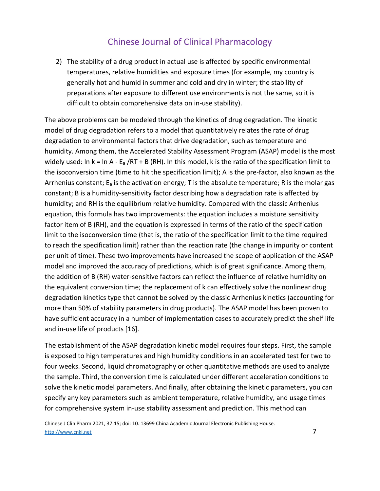2) The stability of a drug product in actual use is affected by specific environmental temperatures, relative humidities and exposure times (for example, my country is generally hot and humid in summer and cold and dry in winter; the stability of preparations after exposure to different use environments is not the same, so it is difficult to obtain comprehensive data on in-use stability).

The above problems can be modeled through the kinetics of drug degradation. The kinetic model of drug degradation refers to a model that quantitatively relates the rate of drug degradation to environmental factors that drive degradation, such as temperature and humidity. Among them, the Accelerated Stability Assessment Program (ASAP) model is the most widely used: In k = ln A -  $E_a$  /RT + B (RH). In this model, k is the ratio of the specification limit to the isoconversion time (time to hit the specification limit); A is the pre-factor, also known as the Arrhenius constant;  $E_a$  is the activation energy; T is the absolute temperature; R is the molar gas constant; B is a humidity-sensitivity factor describing how a degradation rate is affected by humidity; and RH is the equilibrium relative humidity. Compared with the classic Arrhenius equation, this formula has two improvements: the equation includes a moisture sensitivity factor item of B (RH), and the equation is expressed in terms of the ratio of the specification limit to the isoconversion time (that is, the ratio of the specification limit to the time required to reach the specification limit) rather than the reaction rate (the change in impurity or content per unit of time). These two improvements have increased the scope of application of the ASAP model and improved the accuracy of predictions, which is of great significance. Among them, the addition of B (RH) water-sensitive factors can reflect the influence of relative humidity on the equivalent conversion time; the replacement of k can effectively solve the nonlinear drug degradation kinetics type that cannot be solved by the classic Arrhenius kinetics (accounting for more than 50% of stability parameters in drug products). The ASAP model has been proven to have sufficient accuracy in a number of implementation cases to accurately predict the shelf life and in-use life of products [16].

The establishment of the ASAP degradation kinetic model requires four steps. First, the sample is exposed to high temperatures and high humidity conditions in an accelerated test for two to four weeks. Second, liquid chromatography or other quantitative methods are used to analyze the sample. Third, the conversion time is calculated under different acceleration conditions to solve the kinetic model parameters. And finally, after obtaining the kinetic parameters, you can specify any key parameters such as ambient temperature, relative humidity, and usage times for comprehensive system in-use stability assessment and prediction. This method can

Chinese J Clin Pharm 2021, 37:15; doi: 10. 13699 China Academic Journal Electronic Publishing House. http://www.cnki.net 7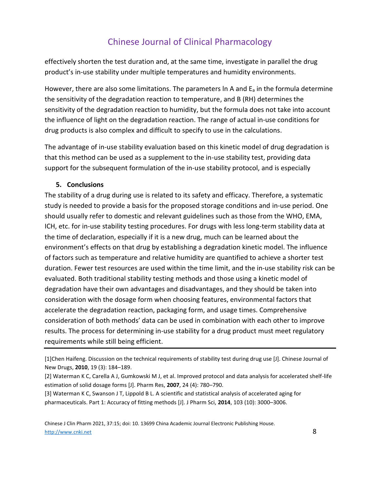effectively shorten the test duration and, at the same time, investigate in parallel the drug product's in-use stability under multiple temperatures and humidity environments.

However, there are also some limitations. The parameters  $\ln A$  and  $E_a$  in the formula determine the sensitivity of the degradation reaction to temperature, and B (RH) determines the sensitivity of the degradation reaction to humidity, but the formula does not take into account the influence of light on the degradation reaction. The range of actual in-use conditions for drug products is also complex and difficult to specify to use in the calculations.

The advantage of in-use stability evaluation based on this kinetic model of drug degradation is that this method can be used as a supplement to the in-use stability test, providing data support for the subsequent formulation of the in-use stability protocol, and is especially

#### **5. Conclusions**

The stability of a drug during use is related to its safety and efficacy. Therefore, a systematic study is needed to provide a basis for the proposed storage conditions and in-use period. One should usually refer to domestic and relevant guidelines such as those from the WHO, EMA, ICH, etc. for in-use stability testing procedures. For drugs with less long-term stability data at the time of declaration, especially if it is a new drug, much can be learned about the environment's effects on that drug by establishing a degradation kinetic model. The influence of factors such as temperature and relative humidity are quantified to achieve a shorter test duration. Fewer test resources are used within the time limit, and the in-use stability risk can be evaluated. Both traditional stability testing methods and those using a kinetic model of degradation have their own advantages and disadvantages, and they should be taken into consideration with the dosage form when choosing features, environmental factors that accelerate the degradation reaction, packaging form, and usage times. Comprehensive consideration of both methods' data can be used in combination with each other to improve results. The process for determining in-use stability for a drug product must meet regulatory requirements while still being efficient.

[1]Chen Haifeng. Discussion on the technical requirements of stability test during drug use [J]. Chinese Journal of New Drugs, **2010**, 19 (3): 184–189.

[2] Waterman K C, Carella A J, Gumkowski M J, et al. Improved protocol and data analysis for accelerated shelf-life estimation of solid dosage forms [J]. Pharm Res, **2007**, 24 (4): 780–790.

[3] Waterman K C, Swanson J T, Lippold B L. A scientific and statistical analysis of accelerated aging for pharmaceuticals. Part 1: Accuracy of fitting methods [J]. J Pharm Sci, **2014**, 103 (10): 3000–3006.

Chinese J Clin Pharm 2021, 37:15; doi: 10. 13699 China Academic Journal Electronic Publishing House. http://www.cnki.net 8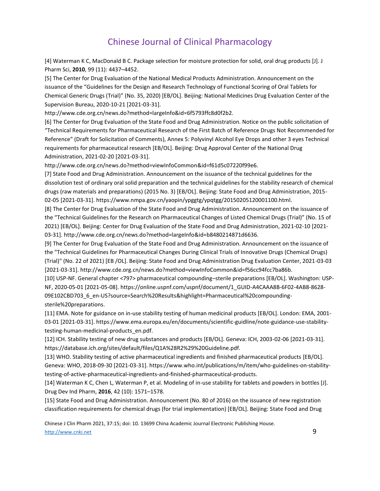[4] Waterman K C, MacDonald B C. Package selection for moisture protection for solid, oral drug products [J]. J Pharm Sci, **2010**, 99 (11): 4437–4452.

[5] The Center for Drug Evaluation of the National Medical Products Administration. Announcement on the issuance of the "Guidelines for the Design and Research Technology of Functional Scoring of Oral Tablets for Chemical Generic Drugs (Trial)" (No. 35, 2020) [EB/OL]. Beijing: National Medicines Drug Evaluation Center of the Supervision Bureau, 2020-10-21 [2021-03-31].

http://www.cde.org.cn/news.do?method=largeInfo&id=6f5793ffc8d0f2b2.

[6] The Center for Drug Evaluation of the State Food and Drug Administration. Notice on the public solicitation of "Technical Requirements for Pharmaceutical Research of the First Batch of Reference Drugs Not Recommended for Reference" (Draft for Solicitation of Comments), Annex 5: Polyvinyl Alcohol Eye Drops and other 3 eyes Technical requirements for pharmaceutical research [EB/OL]. Beijing: Drug Approval Center of the National Drug Administration, 2021-02-20 [2021-03-31].

http://www.cde.org.cn/news.do?method=viewInfoCommon&id=f61d5c07220f99e6.

[7] State Food and Drug Administration. Announcement on the issuance of the technical guidelines for the dissolution test of ordinary oral solid preparation and the technical guidelines for the stability research of chemical drugs (raw materials and preparations) (2015 No. 3) [EB/OL]. Beijing: State Food and Drug Administration, 2015- 02-05 [2021-03-31]. https://www.nmpa.gov.cn/yaopin/ypggtg/ypqtgg/20150205120001100.html.

[8] The Center for Drug Evaluation of the State Food and Drug Administration. Announcement on the issuance of the "Technical Guidelines for the Research on Pharmaceutical Changes of Listed Chemical Drugs (Trial)" (No. 15 of 2021) [EB/OL]. Beijing: Center for Drug Evaluation of the State Food and Drug Administration, 2021-02-10 [2021- 03-31]. http://www.cde.org.cn/news.do?method=largeInfo&id=b8480214871d6636.

[9] The Center for Drug Evaluation of the State Food and Drug Administration. Announcement on the issuance of the "Technical Guidelines for Pharmaceutical Changes During Clinical Trials of Innovative Drugs (Chemical Drugs) (Trial)" (No. 22 of 2021) [EB /OL]. Beijing: State Food and Drug Administration Drug Evaluation Center, 2021-03-03 [2021-03-31]. http://www.cde.org.cn/news.do?method=viewInfoCommon&id=f56cc94fcc7ba86b.

[10] USP-NF. General chapter <797> pharmaceutical compounding–sterile preparations [EB/OL]. Washington: USP-NF, 2020-05-01 [2021-05-08]. https://online.uspnf.com/uspnf/document/1\_GUID-A4CAAA8B-6F02-4AB8-8628- 09E102CBD703\_6\_en-US?source=Search%20Results&highlight=Pharmaceutical%20compoundingsterile%20preparations.

[11] EMA. Note for guidance on in-use stability testing of human medicinal products [EB/OL]. London: EMA, 2001- 03-01 [2021-03-31]. https://www.ema.europa.eu/en/documents/scientific-guidline/note-guidance-use-stabilitytesting-human-medicinal-products\_en.pdf.

[12] ICH. Stability testing of new drug substances and products [EB/OL]. Geneva: ICH, 2003-02-06 [2021-03-31]. https://database.ich.org/sites/default/files/Q1A%28R2%29%20Guideline.pdf.

[13] WHO. Stability testing of active pharmaceutical ingredients and finished pharmaceutical products [EB/OL]. Geneva: WHO, 2018-09-30 [2021-03-31]. https://www.who.int/publications/m/item/who-guidelines-on-stabilitytesting-of-active-pharmaceutical-ingredients-and-finished-pharmaceutical-products.

[14] Waterman K C, Chen L, Waterman P, et al. Modeling of in-use stability for tablets and powders in bottles [J]. Drug Dev Ind Pharm, **2016**, 42 (10): 1571–1578.

[15] State Food and Drug Administration. Announcement (No. 80 of 2016) on the issuance of new registration classification requirements for chemical drugs (for trial implementation) [EB/OL]. Beijing: State Food and Drug

Chinese J Clin Pharm 2021, 37:15; doi: 10. 13699 China Academic Journal Electronic Publishing House. http://www.cnki.net 9